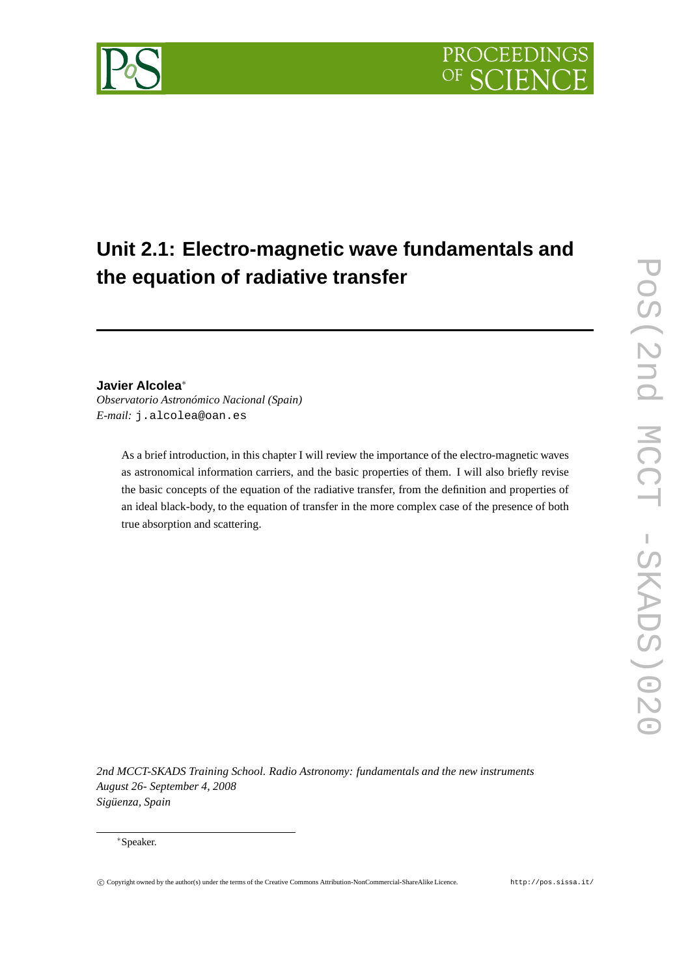

# **Unit 2.1: Electro-magnetic wave fundamentals and the equation of radiative transfer**

# **Javier Alcolea**<sup>∗</sup>

*Observatorio Astronómico Nacional (Spain) E-mail:* j.alcolea@oan.es

> As a brief introduction, in this chapter I will review the importance of the electro-magnetic waves as astronomical information carriers, and the basic properties of them. I will also briefly revise the basic concepts of the equation of the radiative transfer, from the definition and properties of an ideal black-body, to the equation of transfer in the more complex case of the presence of both true absorption and scattering.

*2nd MCCT-SKADS Training School. Radio Astronomy: fundamentals and the new instruments August 26- September 4, 2008 Sigüenza, Spain*

## <sup>∗</sup>Speaker.

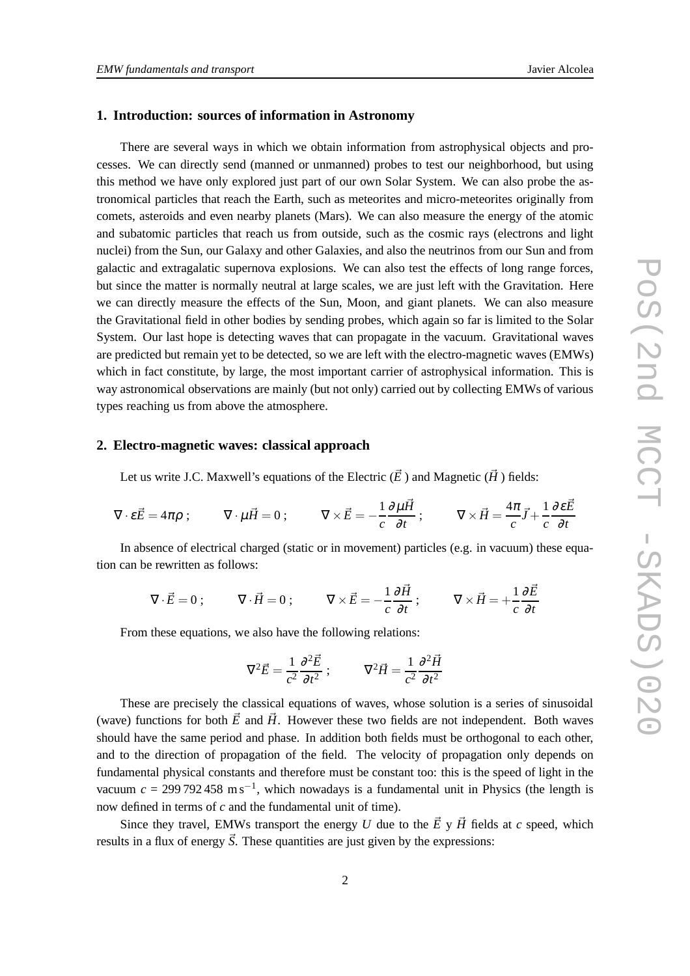#### **1. Introduction: sources of information in Astronomy**

There are several ways in which we obtain information from astrophysical objects and processes. We can directly send (manned or unmanned) probes to test our neighborhood, but using this method we have only explored just part of our own Solar System. We can also probe the astronomical particles that reach the Earth, such as meteorites and micro-meteorites originally from comets, asteroids and even nearby planets (Mars). We can also measure the energy of the atomic and subatomic particles that reach us from outside, such as the cosmic rays (electrons and light nuclei) from the Sun, our Galaxy and other Galaxies, and also the neutrinos from our Sun and from galactic and extragalatic supernova explosions. We can also test the effects of long range forces, but since the matter is normally neutral at large scales, we are just left with the Gravitation. Here we can directly measure the effects of the Sun, Moon, and giant planets. We can also measure the Gravitational field in other bodies by sending probes, which again so far is limited to the Solar System. Our last hope is detecting waves that can propagate in the vacuum. Gravitational waves are predicted but remain yet to be detected, so we are left with the electro-magnetic waves (EMWs) which in fact constitute, by large, the most important carrier of astrophysical information. This is way astronomical observations are mainly (but not only) carried out by collecting EMWs of various types reaching us from above the atmosphere.

#### **2. Electro-magnetic waves: classical approach**

Let us write J.C. Maxwell's equations of the Electric  $(\vec{E})$  and Magnetic  $(\vec{H})$  fields:

$$
\nabla \cdot \varepsilon \vec{E} = 4\pi \rho \; ; \qquad \nabla \cdot \mu \vec{H} = 0 \; ; \qquad \nabla \times \vec{E} = -\frac{1}{c} \frac{\partial \mu \vec{H}}{\partial t} \; ; \qquad \nabla \times \vec{H} = \frac{4\pi}{c} \vec{J} + \frac{1}{c} \frac{\partial \varepsilon \vec{E}}{\partial t}
$$

In absence of electrical charged (static or in movement) particles (e.g. in vacuum) these equation can be rewritten as follows:

$$
\nabla \cdot \vec{E} = 0 \; ; \qquad \nabla \cdot \vec{H} = 0 \; ; \qquad \nabla \times \vec{E} = -\frac{1}{c} \frac{\partial \vec{H}}{\partial t} \; ; \qquad \nabla \times \vec{H} = +\frac{1}{c} \frac{\partial \vec{E}}{\partial t}
$$

From these equations, we also have the following relations:

$$
\nabla^2 \vec{E} = \frac{1}{c^2} \frac{\partial^2 \vec{E}}{\partial t^2} ; \qquad \nabla^2 \vec{H} = \frac{1}{c^2} \frac{\partial^2 \vec{H}}{\partial t^2}
$$

These are precisely the classical equations of waves, whose solution is a series of sinusoidal (wave) functions for both  $\vec{E}$  and  $\vec{H}$ . However these two fields are not independent. Both waves should have the same period and phase. In addition both fields must be orthogonal to each other, and to the direction of propagation of the field. The velocity of propagation only depends on fundamental physical constants and therefore must be constant too: this is the speed of light in the vacuum  $c = 299792458 \text{ m s}^{-1}$ , which nowadays is a fundamental unit in Physics (the length is now defined in terms of *c* and the fundamental unit of time).

Since they travel, EMWs transport the energy *U* due to the  $\vec{E}$  y  $\vec{H}$  fields at *c* speed, which results in a flux of energy  $\vec{S}$ . These quantities are just given by the expressions: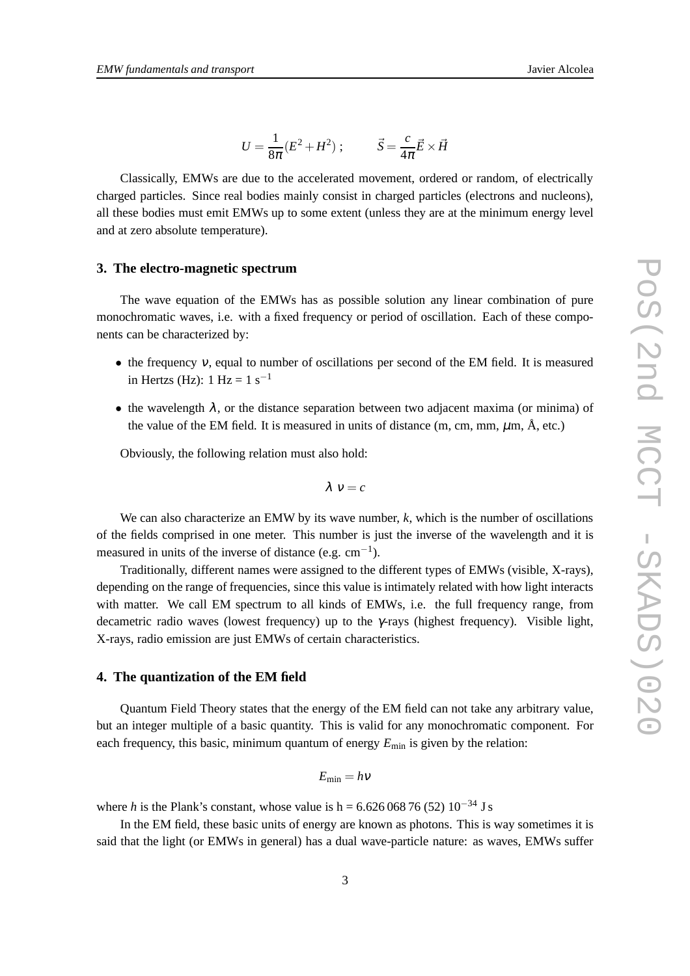$$
U = \frac{1}{8\pi} (E^2 + H^2) ; \qquad \vec{S} = \frac{c}{4\pi} \vec{E} \times \vec{H}
$$

Classically, EMWs are due to the accelerated movement, ordered or random, of electrically charged particles. Since real bodies mainly consist in charged particles (electrons and nucleons), all these bodies must emit EMWs up to some extent (unless they are at the minimum energy level and at zero absolute temperature).

#### **3. The electro-magnetic spectrum**

The wave equation of the EMWs has as possible solution any linear combination of pure monochromatic waves, i.e. with a fixed frequency or period of oscillation. Each of these components can be characterized by:

- $\bullet$  the frequency v, equal to number of oscillations per second of the EM field. It is measured in Hertzs (Hz):  $1$  Hz =  $1$  s<sup>-1</sup>
- the wavelength  $\lambda$ , or the distance separation between two adjacent maxima (or minima) of the value of the EM field. It is measured in units of distance  $(m, cm, mm, \mu m, \AA, etc.)$

Obviously, the following relation must also hold:

$$
\lambda v = c
$$

We can also characterize an EMW by its wave number, *k*, which is the number of oscillations of the fields comprised in one meter. This number is just the inverse of the wavelength and it is measured in units of the inverse of distance (e.g.  $cm^{-1}$ ).

Traditionally, different names were assigned to the different types of EMWs (visible, X-rays), depending on the range of frequencies, since this value is intimately related with how light interacts with matter. We call EM spectrum to all kinds of EMWs, i.e. the full frequency range, from decametric radio waves (lowest frequency) up to the γ-rays (highest frequency). Visible light, X-rays, radio emission are just EMWs of certain characteristics.

# **4. The quantization of the EM field**

Quantum Field Theory states that the energy of the EM field can not take any arbitrary value, but an integer multiple of a basic quantity. This is valid for any monochromatic component. For each frequency, this basic, minimum quantum of energy  $E_{\text{min}}$  is given by the relation:

$$
E_{\min}=h\nu
$$

where *h* is the Plank's constant, whose value is h = 6.626 068 76 (52)  $10^{-34}$  J s

In the EM field, these basic units of energy are known as photons. This is way sometimes it is said that the light (or EMWs in general) has a dual wave-particle nature: as waves, EMWs suffer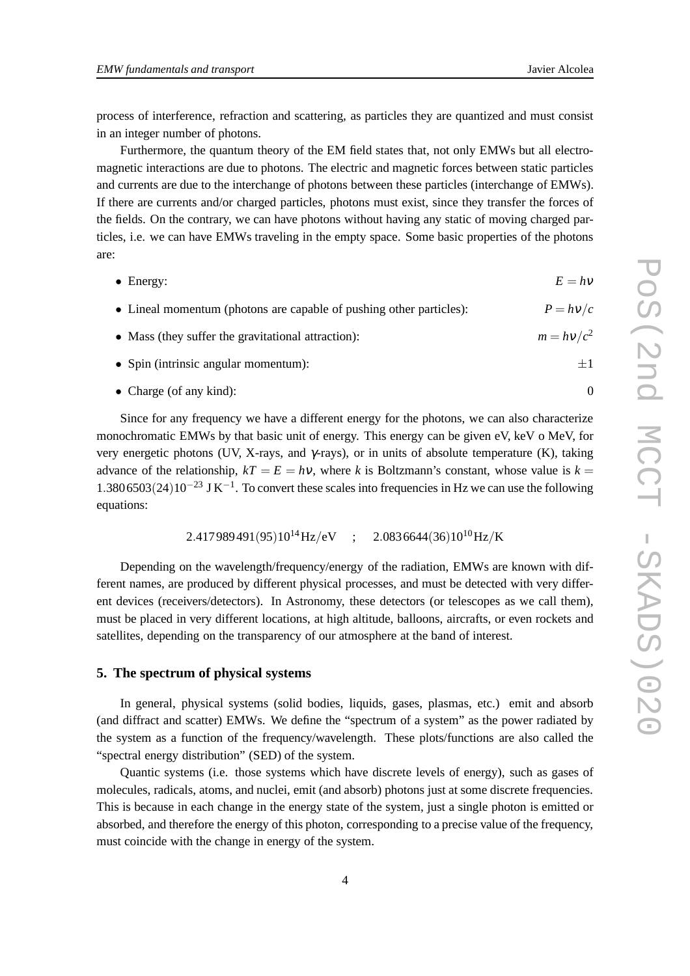process of interference, refraction and scattering, as particles they are quantized and must consist in an integer number of photons.

Furthermore, the quantum theory of the EM field states that, not only EMWs but all electromagnetic interactions are due to photons. The electric and magnetic forces between static particles and currents are due to the interchange of photons between these particles (interchange of EMWs). If there are currents and/or charged particles, photons must exist, since they transfer the forces of the fields. On the contrary, we can have photons without having any static of moving charged particles, i.e. we can have EMWs traveling in the empty space. Some basic properties of the photons are:

| $\bullet$ Energy:                                                   | $E = h\nu$    |
|---------------------------------------------------------------------|---------------|
| • Lineal momentum (photons are capable of pushing other particles): | $P = hV/c$    |
| • Mass (they suffer the gravitational attraction):                  | $m = h v/c^2$ |
| • Spin (intrinsic angular momentum):                                |               |

• Charge (of any kind): 0

Since for any frequency we have a different energy for the photons, we can also characterize monochromatic EMWs by that basic unit of energy. This energy can be given eV, keV o MeV, for very energetic photons (UV, X-rays, and  $\gamma$ -rays), or in units of absolute temperature (K), taking advance of the relationship,  $kT = E = hv$ , where *k* is Boltzmann's constant, whose value is  $k =$ 1.3806503(24)10<sup>-23</sup> J K<sup>-1</sup>. To convert these scales into frequencies in Hz we can use the following equations:

$$
2.417989491(95)10^{14} \text{Hz/eV} \quad ; \quad 2.0836644(36)10^{10} \text{Hz/K}
$$

Depending on the wavelength/frequency/energy of the radiation, EMWs are known with different names, are produced by different physical processes, and must be detected with very different devices (receivers/detectors). In Astronomy, these detectors (or telescopes as we call them), must be placed in very different locations, at high altitude, balloons, aircrafts, or even rockets and satellites, depending on the transparency of our atmosphere at the band of interest.

#### **5. The spectrum of physical systems**

In general, physical systems (solid bodies, liquids, gases, plasmas, etc.) emit and absorb (and diffract and scatter) EMWs. We define the "spectrum of a system" as the power radiated by the system as a function of the frequency/wavelength. These plots/functions are also called the "spectral energy distribution" (SED) of the system.

Quantic systems (i.e. those systems which have discrete levels of energy), such as gases of molecules, radicals, atoms, and nuclei, emit (and absorb) photons just at some discrete frequencies. This is because in each change in the energy state of the system, just a single photon is emitted or absorbed, and therefore the energy of this photon, corresponding to a precise value of the frequency, must coincide with the change in energy of the system.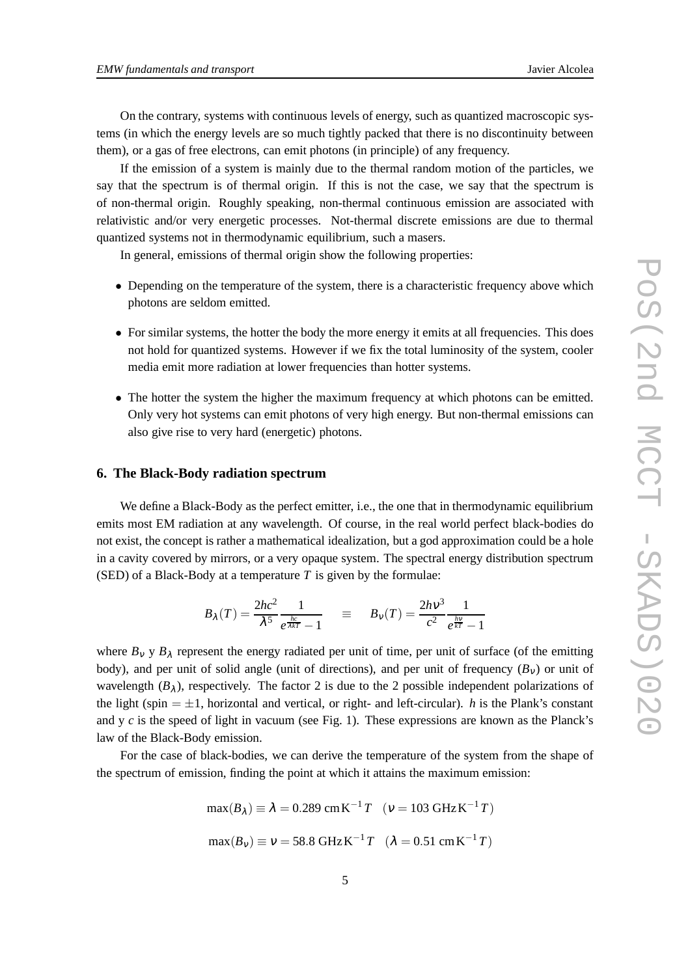On the contrary, systems with continuous levels of energy, such as quantized macroscopic systems (in which the energy levels are so much tightly packed that there is no discontinuity between them), or a gas of free electrons, can emit photons (in principle) of any frequency.

If the emission of a system is mainly due to the thermal random motion of the particles, we say that the spectrum is of thermal origin. If this is not the case, we say that the spectrum is of non-thermal origin. Roughly speaking, non-thermal continuous emission are associated with relativistic and/or very energetic processes. Not-thermal discrete emissions are due to thermal quantized systems not in thermodynamic equilibrium, such a masers.

In general, emissions of thermal origin show the following properties:

- Depending on the temperature of the system, there is a characteristic frequency above which photons are seldom emitted.
- For similar systems, the hotter the body the more energy it emits at all frequencies. This does not hold for quantized systems. However if we fix the total luminosity of the system, cooler media emit more radiation at lower frequencies than hotter systems.
- The hotter the system the higher the maximum frequency at which photons can be emitted. Only very hot systems can emit photons of very high energy. But non-thermal emissions can also give rise to very hard (energetic) photons.

#### **6. The Black-Body radiation spectrum**

We define a Black-Body as the perfect emitter, i.e., the one that in thermodynamic equilibrium emits most EM radiation at any wavelength. Of course, in the real world perfect black-bodies do not exist, the concept is rather a mathematical idealization, but a god approximation could be a hole in a cavity covered by mirrors, or a very opaque system. The spectral energy distribution spectrum (SED) of a Black-Body at a temperature *T* is given by the formulae:

$$
B_{\lambda}(T) = \frac{2hc^2}{\lambda^5} \frac{1}{e^{\frac{hc}{\lambda kT}} - 1} \quad \equiv \quad B_{\nu}(T) = \frac{2h\nu^3}{c^2} \frac{1}{e^{\frac{h\nu}{kT}} - 1}
$$

where  $B_v y B_\lambda$  represent the energy radiated per unit of time, per unit of surface (of the emitting body), and per unit of solid angle (unit of directions), and per unit of frequency  $(B_v)$  or unit of wavelength  $(B_{\lambda})$ , respectively. The factor 2 is due to the 2 possible independent polarizations of the light (spin  $= \pm 1$ , horizontal and vertical, or right- and left-circular). *h* is the Plank's constant and y *c* is the speed of light in vacuum (see Fig. 1). These expressions are known as the Planck's law of the Black-Body emission.

For the case of black-bodies, we can derive the temperature of the system from the shape of the spectrum of emission, finding the point at which it attains the maximum emission:

> $max(B_\lambda) \equiv \lambda = 0.289$  cm K<sup>-1</sup> *T* ( $v = 103$  GHz K<sup>-1</sup> *T*)  $max(B_v) \equiv v = 58.8 \text{ GHz K}^{-1} T \quad (\lambda = 0.51 \text{ cm K}^{-1} T)$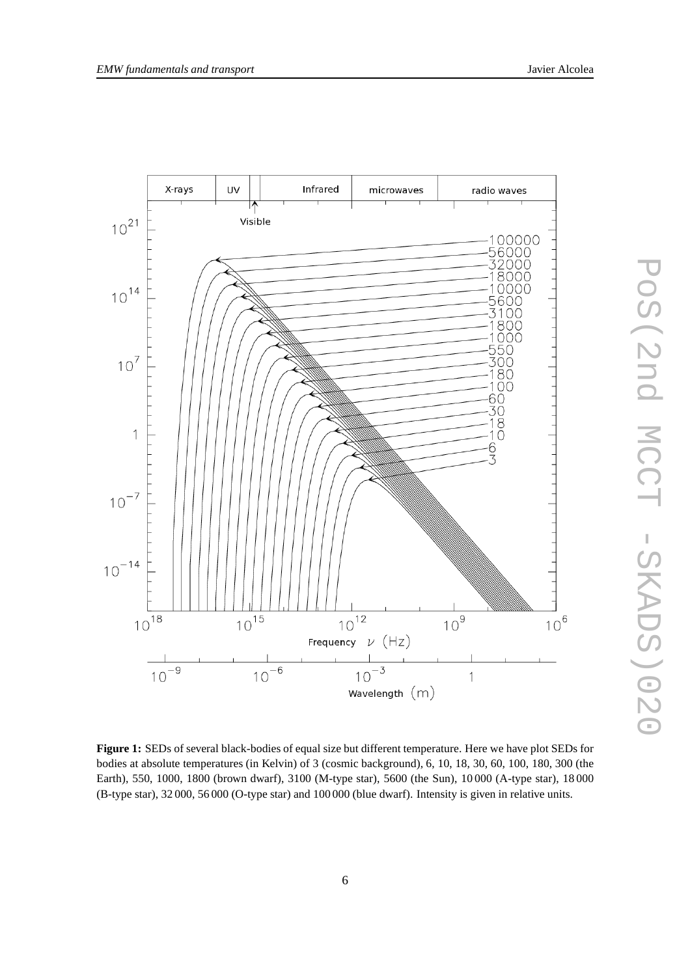

**Figure 1:** SEDs of several black-bodies of equal size but different temperature. Here we have plot SEDs for bodies at absolute temperatures (in Kelvin) of 3 (cosmic background), 6, 10, 18, 30, 60, 100, 180, 300 (the Earth), 550, 1000, 1800 (brown dwarf), 3100 (M-type star), 5600 (the Sun), 10 000 (A-type star), 18 000 (B-type star), 32 000, 56 000 (O-type star) and 100 000 (blue dwarf). Intensity is given in relative units.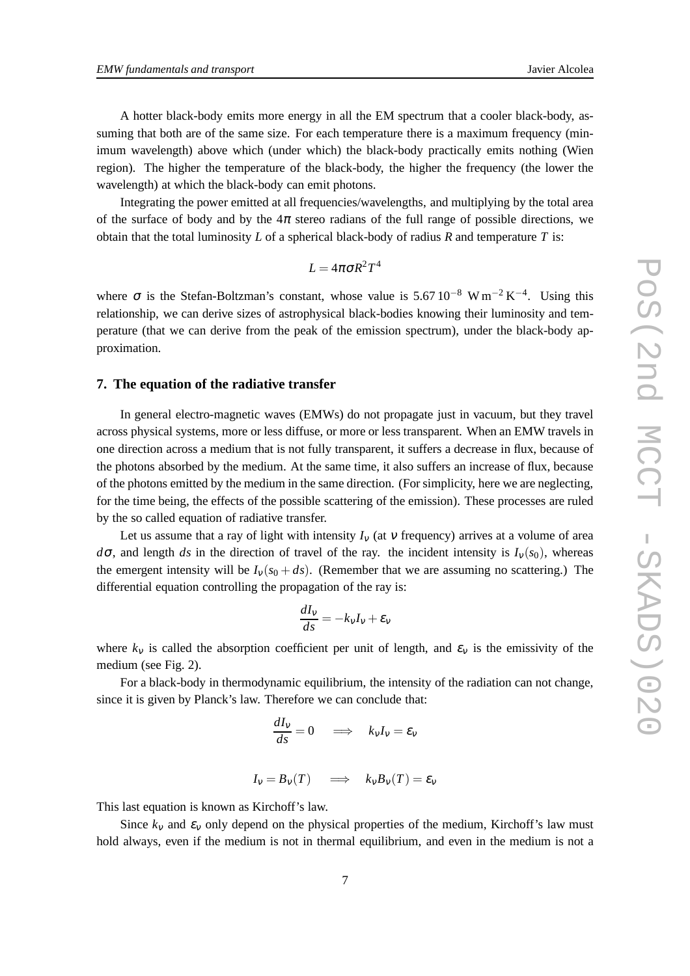A hotter black-body emits more energy in all the EM spectrum that a cooler black-body, assuming that both are of the same size. For each temperature there is a maximum frequency (minimum wavelength) above which (under which) the black-body practically emits nothing (Wien region). The higher the temperature of the black-body, the higher the frequency (the lower the wavelength) at which the black-body can emit photons.

Integrating the power emitted at all frequencies/wavelengths, and multiplying by the total area of the surface of body and by the  $4\pi$  stereo radians of the full range of possible directions, we obtain that the total luminosity *L* of a spherical black-body of radius *R* and temperature *T* is:

$$
L=4\pi\sigma R^2T^4
$$

where  $\sigma$  is the Stefan-Boltzman's constant, whose value is 5.67 10<sup>-8</sup> W m<sup>-2</sup> K<sup>-4</sup>. Using this relationship, we can derive sizes of astrophysical black-bodies knowing their luminosity and temperature (that we can derive from the peak of the emission spectrum), under the black-body approximation.

## **7. The equation of the radiative transfer**

In general electro-magnetic waves (EMWs) do not propagate just in vacuum, but they travel across physical systems, more or less diffuse, or more or less transparent. When an EMW travels in one direction across a medium that is not fully transparent, it suffers a decrease in flux, because of the photons absorbed by the medium. At the same time, it also suffers an increase of flux, because of the photons emitted by the medium in the same direction. (For simplicity, here we are neglecting, for the time being, the effects of the possible scattering of the emission). These processes are ruled by the so called equation of radiative transfer.

Let us assume that a ray of light with intensity  $I_v$  (at  $v$  frequency) arrives at a volume of area  $d\sigma$ , and length *ds* in the direction of travel of the ray. the incident intensity is  $I_v(s_0)$ , whereas the emergent intensity will be  $I_V(s_0 + ds)$ . (Remember that we are assuming no scattering.) The differential equation controlling the propagation of the ray is:

$$
\frac{dI_v}{ds} = -k_v I_v + \varepsilon_v
$$

where  $k_v$  is called the absorption coefficient per unit of length, and  $\varepsilon_v$  is the emissivity of the medium (see Fig. 2).

For a black-body in thermodynamic equilibrium, the intensity of the radiation can not change, since it is given by Planck's law. Therefore we can conclude that:

$$
\frac{dI_v}{ds} = 0 \quad \Longrightarrow \quad k_v I_v = \varepsilon_v
$$

$$
I_V = B_V(T) \quad \implies \quad k_V B_V(T) = \varepsilon_V
$$

This last equation is known as Kirchoff's law.

Since  $k_v$  and  $\varepsilon_v$  only depend on the physical properties of the medium, Kirchoff's law must hold always, even if the medium is not in thermal equilibrium, and even in the medium is not a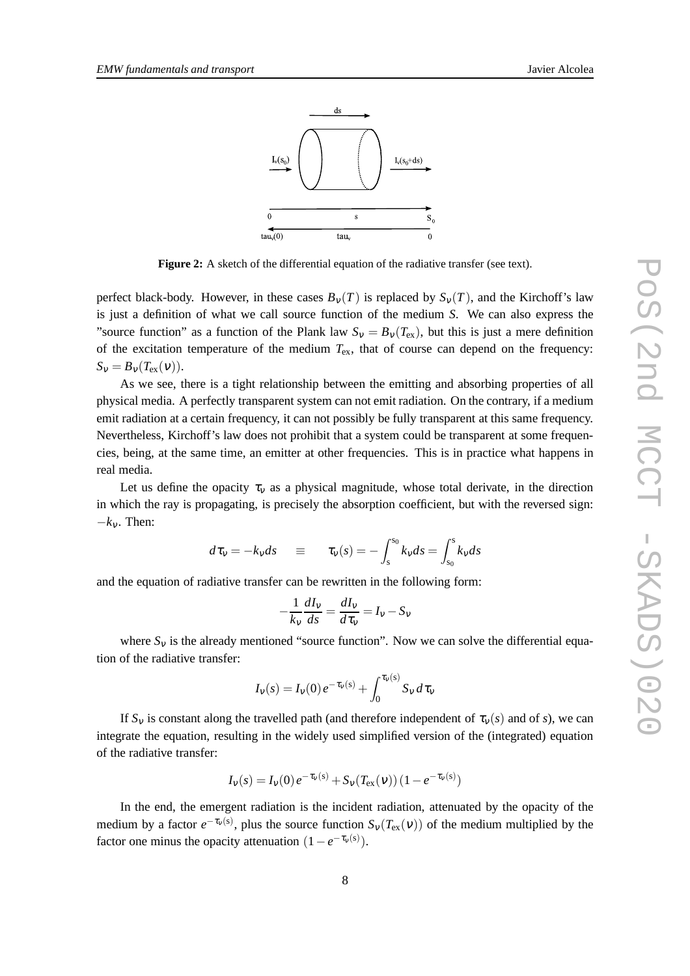

**Figure 2:** A sketch of the differential equation of the radiative transfer (see text).

perfect black-body. However, in these cases  $B_v(T)$  is replaced by  $S_v(T)$ , and the Kirchoff's law is just a definition of what we call source function of the medium *S*. We can also express the "source function" as a function of the Plank law  $S_v = B_v(T_{ex})$ , but this is just a mere definition of the excitation temperature of the medium  $T_{ex}$ , that of course can depend on the frequency:  $S_v = B_v(T_{ex}(v)).$ 

As we see, there is a tight relationship between the emitting and absorbing properties of all physical media. A perfectly transparent system can not emit radiation. On the contrary, if a medium emit radiation at a certain frequency, it can not possibly be fully transparent at this same frequency. Nevertheless, Kirchoff's law does not prohibit that a system could be transparent at some frequencies, being, at the same time, an emitter at other frequencies. This is in practice what happens in real media.

Let us define the opacity  $\tau_v$  as a physical magnitude, whose total derivate, in the direction in which the ray is propagating, is precisely the absorption coefficient, but with the reversed sign:  $-k_v$ . Then:

$$
d\tau_{v} = -k_{v}ds \quad \equiv \quad \tau_{v}(s) = -\int_{s}^{s_{0}} k_{v}ds = \int_{s_{0}}^{s} k_{v}ds
$$

and the equation of radiative transfer can be rewritten in the following form:

$$
-\frac{1}{k_v}\frac{dI_v}{ds} = \frac{dI_v}{d\tau_v} = I_v - S_v
$$

where  $S_v$  is the already mentioned "source function". Now we can solve the differential equation of the radiative transfer:

$$
I_V(s) = I_V(0) e^{-\tau_V(s)} + \int_0^{\tau_V(s)} S_V d\tau_V
$$

If  $S_v$  is constant along the travelled path (and therefore independent of  $\tau_v(s)$  and of *s*), we can integrate the equation, resulting in the widely used simplified version of the (integrated) equation of the radiative transfer:

$$
I_{v}(s) = I_{v}(0) e^{-\tau_{v}(s)} + S_{v}(T_{ex}(v)) (1 - e^{-\tau_{v}(s)})
$$

In the end, the emergent radiation is the incident radiation, attenuated by the opacity of the medium by a factor  $e^{-\tau_v(s)}$ , plus the source function  $S_v(T_{ex}(v))$  of the medium multiplied by the factor one minus the opacity attenuation  $(1 - e^{-\tau_v(s)})$ .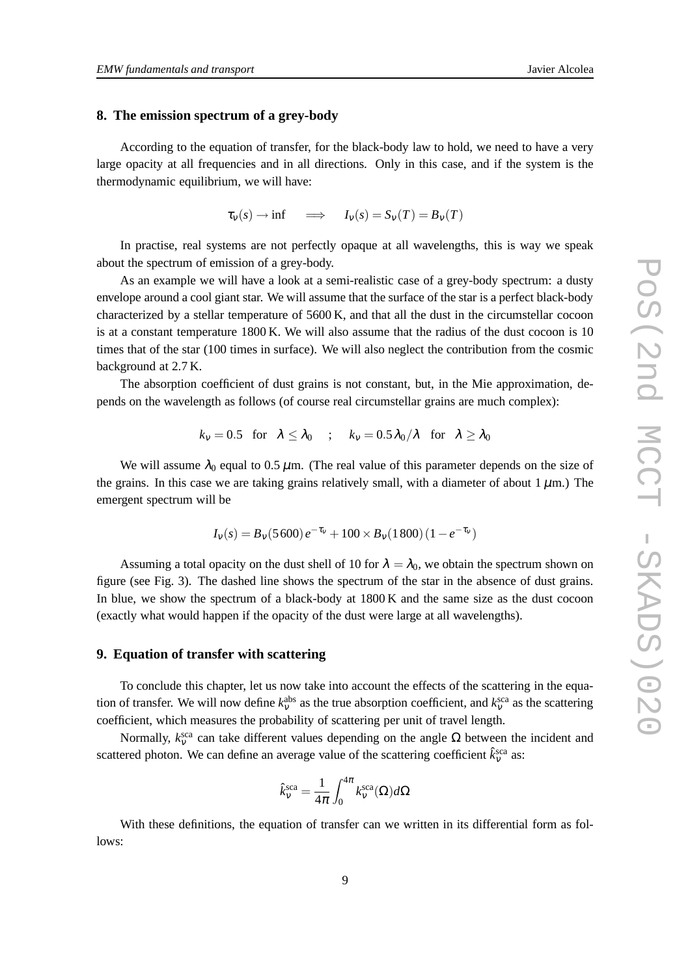## **8. The emission spectrum of a grey-body**

According to the equation of transfer, for the black-body law to hold, we need to have a very large opacity at all frequencies and in all directions. Only in this case, and if the system is the thermodynamic equilibrium, we will have:

$$
\tau_v(s) \to \inf \implies I_v(s) = S_v(T) = B_v(T)
$$

In practise, real systems are not perfectly opaque at all wavelengths, this is way we speak about the spectrum of emission of a grey-body.

As an example we will have a look at a semi-realistic case of a grey-body spectrum: a dusty envelope around a cool giant star. We will assume that the surface of the star is a perfect black-body characterized by a stellar temperature of 5600 K, and that all the dust in the circumstellar cocoon is at a constant temperature 1800 K. We will also assume that the radius of the dust cocoon is 10 times that of the star (100 times in surface). We will also neglect the contribution from the cosmic background at 2.7 K.

The absorption coefficient of dust grains is not constant, but, in the Mie approximation, depends on the wavelength as follows (of course real circumstellar grains are much complex):

$$
k_v = 0.5
$$
 for  $\lambda \le \lambda_0$  ;  $k_v = 0.5 \lambda_0/\lambda$  for  $\lambda \ge \lambda_0$ 

We will assume  $\lambda_0$  equal to 0.5  $\mu$ m. (The real value of this parameter depends on the size of the grains. In this case we are taking grains relatively small, with a diameter of about  $1 \mu m$ .) The emergent spectrum will be

$$
I_{\rm v}(s) = B_{\rm v}(5\,600) \, e^{-\tau_{\rm v}} + 100 \times B_{\rm v}(1\,800) \, (1 - e^{-\tau_{\rm v}})
$$

Assuming a total opacity on the dust shell of 10 for  $\lambda = \lambda_0$ , we obtain the spectrum shown on figure (see Fig. 3). The dashed line shows the spectrum of the star in the absence of dust grains. In blue, we show the spectrum of a black-body at 1800 K and the same size as the dust cocoon (exactly what would happen if the opacity of the dust were large at all wavelengths).

# **9. Equation of transfer with scattering**

To conclude this chapter, let us now take into account the effects of the scattering in the equation of transfer. We will now define  $k_{\rm v}^{\rm abs}$  as the true absorption coefficient, and  $k_{\rm v}^{\rm sca}$  as the scattering coefficient, which measures the probability of scattering per unit of travel length.

Normally,  $k_{\rm v}^{\rm sca}$  can take different values depending on the angle  $\Omega$  between the incident and scattered photon. We can define an average value of the scattering coefficient  $\hat{k}^{\text{sca}}_{\text{v}}$  as:

$$
\hat{k}_{\mathrm{v}}^{\mathrm{sca}} = \frac{1}{4\pi} \int_{0}^{4\pi} k_{\mathrm{v}}^{\mathrm{sca}}(\Omega) d\Omega
$$

With these definitions, the equation of transfer can we written in its differential form as follows: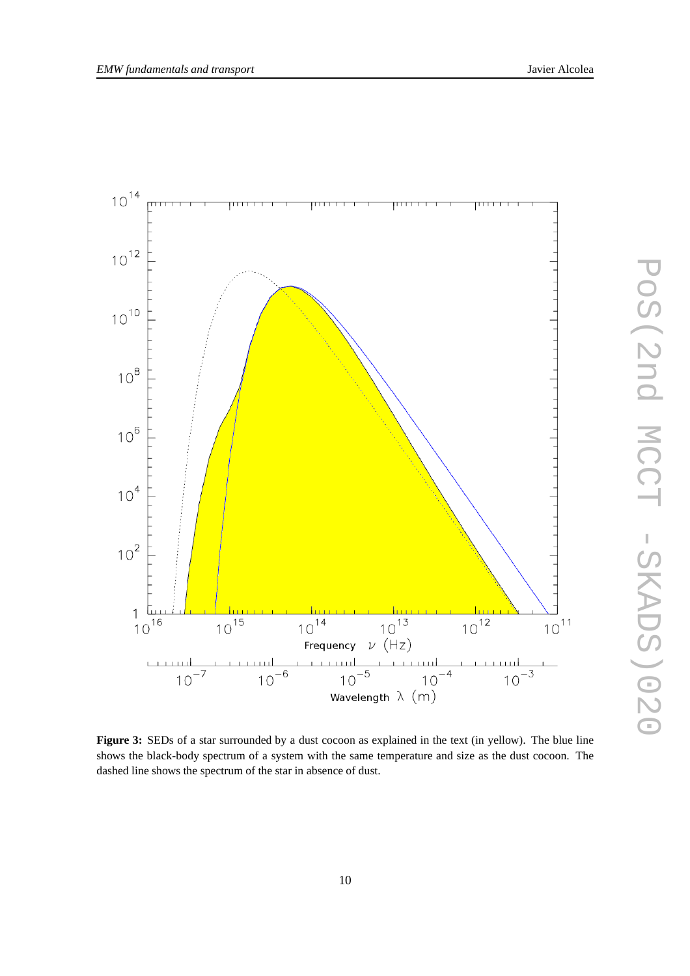

**Figure 3:** SEDs of a star surrounded by a dust cocoon as explained in the text (in yellow). The blue line shows the black-body spectrum of a system with the same temperature and size as the dust cocoon. The dashed line shows the spectrum of the star in absence of dust.